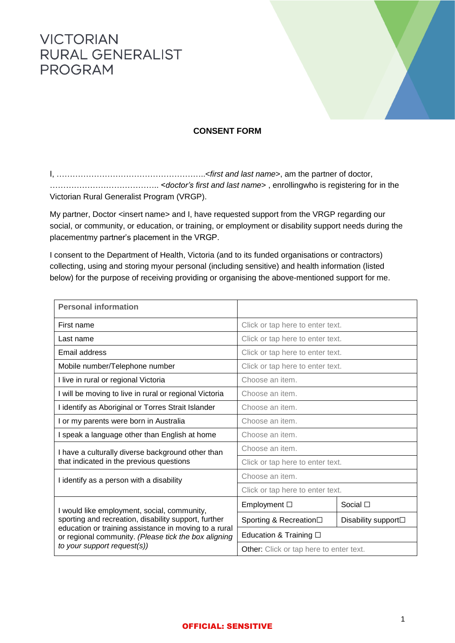## **VICTORIAN RURAL GENERALIST PROGRAM**



## **CONSENT FORM**

I, ………………………………………………..<*first and last name*>, am the partner of doctor, ………………………………….. <*doctor's first and last name*> , enrollingwho is registering for in the Victorian Rural Generalist Program (VRGP).

My partner, Doctor <insert name> and I, have requested support from the VRGP regarding our social, or community, or education, or training, or employment or disability support needs during the placementmy partner's placement in the VRGP.

I consent to the Department of Health, Victoria (and to its funded organisations or contractors) collecting, using and storing myour personal (including sensitive) and health information (listed below) for the purpose of receiving providing or organising the above-mentioned support for me.

| <b>Personal information</b>                                                                                                                                                                                                                         |                                         |                     |  |
|-----------------------------------------------------------------------------------------------------------------------------------------------------------------------------------------------------------------------------------------------------|-----------------------------------------|---------------------|--|
| First name                                                                                                                                                                                                                                          | Click or tap here to enter text.        |                     |  |
| Last name                                                                                                                                                                                                                                           | Click or tap here to enter text.        |                     |  |
| Email address                                                                                                                                                                                                                                       | Click or tap here to enter text.        |                     |  |
| Mobile number/Telephone number                                                                                                                                                                                                                      | Click or tap here to enter text.        |                     |  |
| I live in rural or regional Victoria                                                                                                                                                                                                                | Choose an item.                         |                     |  |
| I will be moving to live in rural or regional Victoria                                                                                                                                                                                              | Choose an item.                         |                     |  |
| I identify as Aboriginal or Torres Strait Islander                                                                                                                                                                                                  | Choose an item.                         |                     |  |
| I or my parents were born in Australia                                                                                                                                                                                                              | Choose an item.                         |                     |  |
| I speak a language other than English at home                                                                                                                                                                                                       | Choose an item.                         |                     |  |
| I have a culturally diverse background other than<br>that indicated in the previous questions                                                                                                                                                       | Choose an item.                         |                     |  |
|                                                                                                                                                                                                                                                     | Click or tap here to enter text.        |                     |  |
| I identify as a person with a disability                                                                                                                                                                                                            | Choose an item.                         |                     |  |
|                                                                                                                                                                                                                                                     | Click or tap here to enter text.        |                     |  |
| I would like employment, social, community,<br>sporting and recreation, disability support, further<br>education or training assistance in moving to a rural<br>or regional community. (Please tick the box aligning<br>to your support request(s)) | Employment $\square$                    | Social $\square$    |  |
|                                                                                                                                                                                                                                                     | Sporting & Recreation□                  | Disability support□ |  |
|                                                                                                                                                                                                                                                     | Education & Training $\Box$             |                     |  |
|                                                                                                                                                                                                                                                     | Other: Click or tap here to enter text. |                     |  |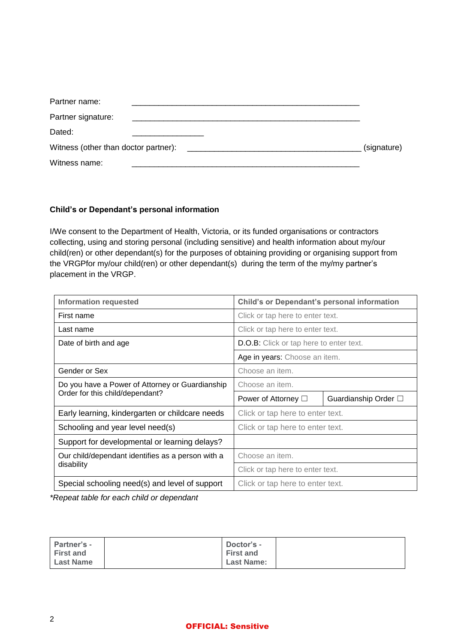| Partner name:      |             |
|--------------------|-------------|
| Partner signature: |             |
| Dated:             |             |
|                    | (signature) |
| Witness name:      |             |

## **Child's or Dependant's personal information**

I/We consent to the Department of Health, Victoria, or its funded organisations or contractors collecting, using and storing personal (including sensitive) and health information about my/our child(ren) or other dependant(s) for the purposes of obtaining providing or organising support from the VRGPfor my/our child(ren) or other dependant(s) during the term of the my/my partner's placement in the VRGP.

| <b>Information requested</b>                      | <b>Child's or Dependant's personal information</b> |                      |  |
|---------------------------------------------------|----------------------------------------------------|----------------------|--|
| First name                                        | Click or tap here to enter text.                   |                      |  |
| Last name                                         | Click or tap here to enter text.                   |                      |  |
| Date of birth and age                             | <b>D.O.B:</b> Click or tap here to enter text.     |                      |  |
|                                                   | Age in years: Choose an item.                      |                      |  |
| Gender or Sex                                     | Choose an item.                                    |                      |  |
| Do you have a Power of Attorney or Guardianship   | Choose an item.                                    |                      |  |
| Order for this child/dependant?                   | Power of Attorney $\Box$                           | Guardianship Order □ |  |
| Early learning, kindergarten or childcare needs   | Click or tap here to enter text.                   |                      |  |
|                                                   |                                                    |                      |  |
| Schooling and year level need(s)                  | Click or tap here to enter text.                   |                      |  |
| Support for developmental or learning delays?     |                                                    |                      |  |
| Our child/dependant identifies as a person with a | Choose an item.                                    |                      |  |
| disability                                        | Click or tap here to enter text.                   |                      |  |

*\*Repeat table for each child or dependant*

| <b>Partner's -</b> | Doctor's -        |  |
|--------------------|-------------------|--|
| <b>First and</b>   | <b>First and</b>  |  |
| <b>Last Name</b>   | <b>Last Name:</b> |  |

## OFFICIAL: Sensitive